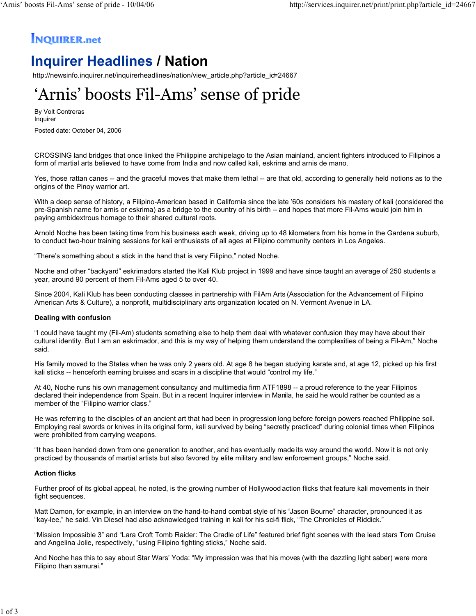### **INQUIRER.net**

## **Inquirer Headlines / Nation**

http://newsinfo.inquirer.net/inquirerheadlines/nation/view\_article.php?article\_id=24667

# 'Arnis' boosts Fil-Ams' sense of pride

By Volt Contreras Inquirer

Posted date: October 04, 2006

CROSSING land bridges that once linked the Philippine archipelago to the Asian mainland, ancient fighters introduced to Filipinos a form of martial arts believed to have come from India and now called kali, eskrima and arnis de mano.

Yes, those rattan canes -- and the graceful moves that make them lethal -- are that old, according to generally held notions as to the origins of the Pinoy warrior art.

With a deep sense of history, a Filipino-American based in California since the late '60s considers his mastery of kali (considered the pre-Spanish name for arnis or eskrima) as a bridge to the country of his birth -- and hopes that more Fil-Ams would join him in paying ambidextrous homage to their shared cultural roots.

Arnold Noche has been taking time from his business each week, driving up to 48 kilometers from his home in the Gardena suburb, to conduct two-hour training sessions for kali enthusiasts of all ages at Filipino community centers in Los Angeles.

"There's something about a stick in the hand that is very Filipino," noted Noche.

Noche and other "backyard" eskrimadors started the Kali Klub project in 1999 and have since taught an average of 250 students a year, around 90 percent of them Fil-Ams aged 5 to over 40.

Since 2004, Kali Klub has been conducting classes in partnership with FilAm Arts (Association for the Advancement of Filipino American Arts & Culture), a nonprofit, multidisciplinary arts organization located on N. Vermont Avenue in LA.

#### **Dealing with confusion**

"I could have taught my (Fil-Am) students something else to help them deal with whatever confusion they may have about their cultural identity. But I am an eskrimador, and this is my way of helping them understand the complexities of being a Fil-Am," Noche said.

His family moved to the States when he was only 2 years old. At age 8 he began studying karate and, at age 12, picked up his first kali sticks -- henceforth earning bruises and scars in a discipline that would "control my life."

At 40, Noche runs his own management consultancy and multimedia firm ATF1898 -- a proud reference to the year Filipinos declared their independence from Spain. But in a recent Inquirer interview in Manila, he said he would rather be counted as a member of the "Filipino warrior class."

He was referring to the disciples of an ancient art that had been in progression long before foreign powers reached Philippine soil. Employing real swords or knives in its original form, kali survived by being "secretly practiced" during colonial times when Filipinos were prohibited from carrying weapons.

"It has been handed down from one generation to another, and has eventually made its way around the world. Now it is not only practiced by thousands of martial artists but also favored by elite military and law enforcement groups," Noche said.

#### **Action flicks**

Further proof of its global appeal, he noted, is the growing number of Hollywood action flicks that feature kali movements in their fight sequences.

Matt Damon, for example, in an interview on the hand-to-hand combat style of his "Jason Bourne" character, pronounced it as "kay-lee," he said. Vin Diesel had also acknowledged training in kali for his sci-fi flick, "The Chronicles of Riddick."

"Mission Impossible 3" and "Lara Croft Tomb Raider: The Cradle of Life" featured brief fight scenes with the lead stars Tom Cruise and Angelina Jolie, respectively, "using Filipino fighting sticks," Noche said.

And Noche has this to say about Star Wars' Yoda: "My impression was that his moves (with the dazzling light saber) were more Filipino than samurai."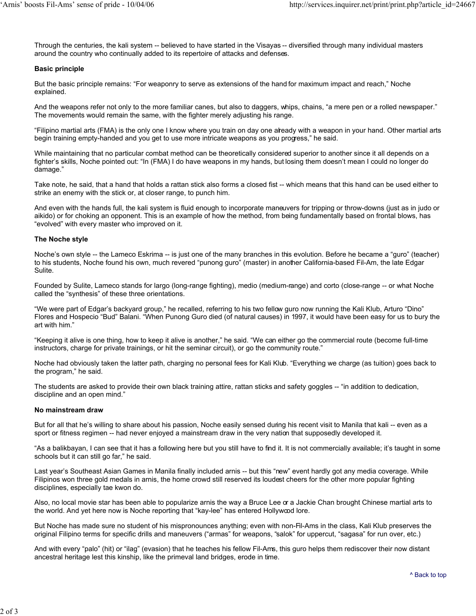Through the centuries, the kali system -- believed to have started in the Visayas -- diversified through many individual masters around the country who continually added to its repertoire of attacks and defenses.

#### **Basic principle**

But the basic principle remains: "For weaponry to serve as extensions of the hand for maximum impact and reach," Noche explained.

And the weapons refer not only to the more familiar canes, but also to daggers, whips, chains, "a mere pen or a rolled newspaper." The movements would remain the same, with the fighter merely adjusting his range.

"Filipino martial arts (FMA) is the only one I know where you train on day one aready with a weapon in your hand. Other martial arts begin training empty-handed and you get to use more intricate weapons as you progress," he said.

While maintaining that no particular combat method can be theoretically considered superior to another since it all depends on a fighter's skills, Noche pointed out: "In (FMA) I do have weapons in my hands, but losing them doesn't mean I could no longer do damage."

Take note, he said, that a hand that holds a rattan stick also forms a closed fist -- which means that this hand can be used either to strike an enemy with the stick or, at closer range, to punch him.

And even with the hands full, the kali system is fluid enough to incorporate maneuvers for tripping or throw-downs (just as in judo or aikido) or for choking an opponent. This is an example of how the method, from being fundamentally based on frontal blows, has "evolved" with every master who improved on it.

#### **The Noche style**

Noche's own style -- the Lameco Eskrima -- is just one of the many branches in this evolution. Before he became a "guro" (teacher) to his students, Noche found his own, much revered "punong guro" (master) in another California-based Fil-Am, the late Edgar Sulite.

Founded by Sulite, Lameco stands for largo (long-range fighting), medio (medium-range) and corto (close-range -- or what Noche called the "synthesis" of these three orientations.

"We were part of Edgar's backyard group," he recalled, referring to his two fellow guro now running the Kali Klub, Arturo "Dino" Flores and Hospecio "Bud" Balani. "When Punong Guro died (of natural causes) in 1997, it would have been easy for us to bury the art with him."

"Keeping it alive is one thing, how to keep it alive is another," he said. "We can either go the commercial route (become full-time instructors, charge for private trainings, or hit the seminar circuit), or go the community route."

Noche had obviously taken the latter path, charging no personal fees for Kali Klub. "Everything we charge (as tuition) goes back to the program," he said.

The students are asked to provide their own black training attire, rattan sticks and safety goggles -- "in addition to dedication, discipline and an open mind."

#### **No mainstream draw**

But for all that he's willing to share about his passion, Noche easily sensed during his recent visit to Manila that kali -- even as a sport or fitness regimen -- had never enjoyed a mainstream draw in the very nation that supposedly developed it.

"As a balikbayan, I can see that it has a following here but you still have to find it. It is not commercially available; it's taught in some schools but it can still go far," he said.

Last year's Southeast Asian Games in Manila finally included arnis -- but this "new" event hardly got any media coverage. While Filipinos won three gold medals in arnis, the home crowd still reserved its loudest cheers for the other more popular fighting disciplines, especially tae kwon do.

Also, no local movie star has been able to popularize arnis the way a Bruce Lee or a Jackie Chan brought Chinese martial arts to the world. And yet here now is Noche reporting that "kay-lee" has entered Hollywood lore.

But Noche has made sure no student of his mispronounces anything; even with non-Fil-Ams in the class, Kali Klub preserves the original Filipino terms for specific drills and maneuvers ("armas" for weapons, "salok" for uppercut, "sagasa" for run over, etc.)

And with every "palo" (hit) or "ilag" (evasion) that he teaches his fellow Fil-Ams, this guro helps them rediscover their now distant ancestral heritage lest this kinship, like the primeval land bridges, erode in time.